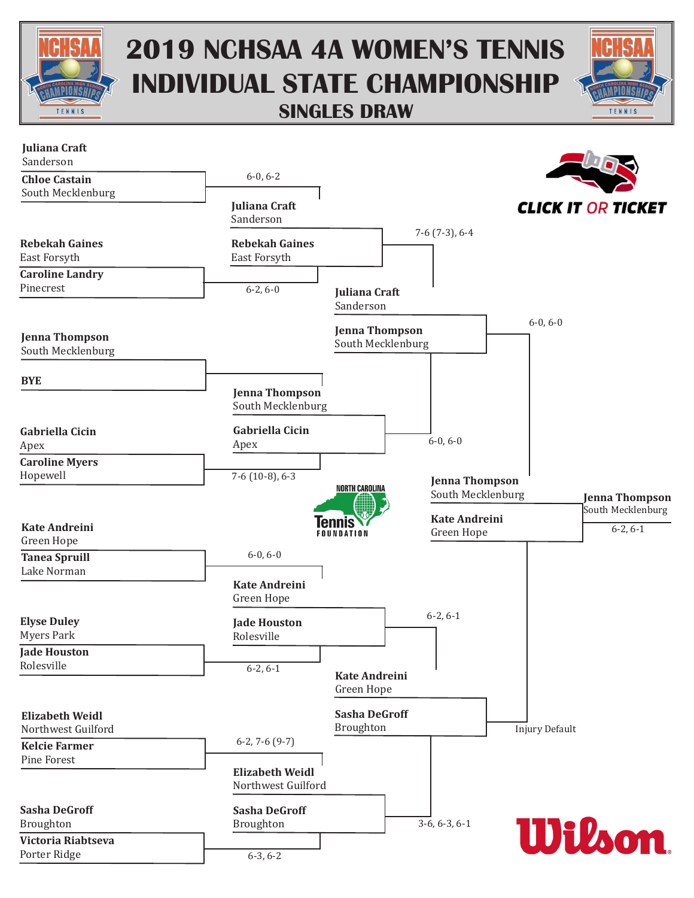

## **2019 NCHSAA 4A WOMEN'S TENNIS INDIVIDUAL STATE CHAMPIONSHIP SINGLES DRAW**